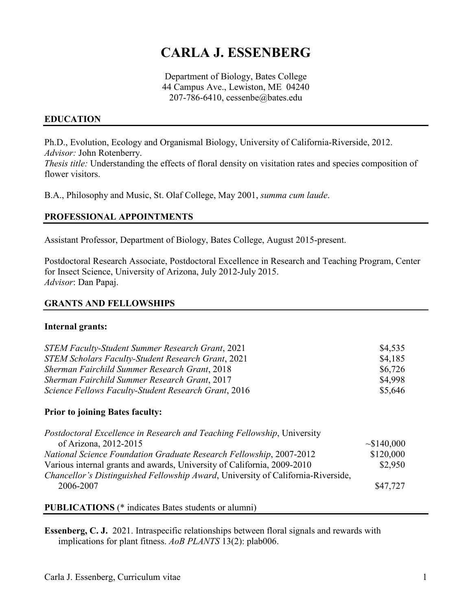# **CARLA J. ESSENBERG**

Department of Biology, Bates College 44 Campus Ave., Lewiston, ME 04240 207-786-6410, cessenbe@bates.edu

## **EDUCATION**

Ph.D., Evolution, Ecology and Organismal Biology, University of California-Riverside, 2012. *Advisor:* John Rotenberry.

*Thesis title:* Understanding the effects of floral density on visitation rates and species composition of flower visitors.

B.A., Philosophy and Music, St. Olaf College, May 2001, *summa cum laude*.

## **PROFESSIONAL APPOINTMENTS**

Assistant Professor, Department of Biology, Bates College, August 2015-present.

Postdoctoral Research Associate, Postdoctoral Excellence in Research and Teaching Program, Center for Insect Science, University of Arizona, July 2012-July 2015. *Advisor*: Dan Papaj.

#### **GRANTS AND FELLOWSHIPS**

#### **Internal grants:**

| <b>STEM Faculty-Student Summer Research Grant, 2021</b>   | \$4,535 |
|-----------------------------------------------------------|---------|
| <b>STEM Scholars Faculty-Student Research Grant, 2021</b> | \$4,185 |
| <b>Sherman Fairchild Summer Research Grant, 2018</b>      | \$6,726 |
| <b>Sherman Fairchild Summer Research Grant, 2017</b>      | \$4,998 |
| Science Fellows Faculty-Student Research Grant, 2016      | \$5,646 |
|                                                           |         |

#### **Prior to joining Bates faculty:**

| Postdoctoral Excellence in Research and Teaching Fellowship, University          |           |
|----------------------------------------------------------------------------------|-----------|
| of Arizona, 2012-2015                                                            | ~140,000  |
| <b>National Science Foundation Graduate Research Fellowship, 2007-2012</b>       | \$120,000 |
| Various internal grants and awards, University of California, 2009-2010          | \$2,950   |
| Chancellor's Distinguished Fellowship Award, University of California-Riverside, |           |
| 2006-2007                                                                        | \$47,727  |
|                                                                                  |           |

**PUBLICATIONS** (\* indicates Bates students or alumni)

**Essenberg, C. J.** 2021. Intraspecific relationships between floral signals and rewards with implications for plant fitness. *AoB PLANTS* 13(2): plab006.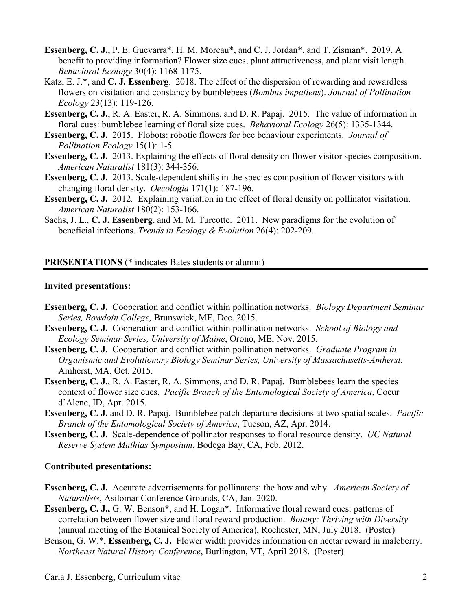- **Essenberg, C. J.**, P. E. Guevarra\*, H. M. Moreau\*, and C. J. Jordan\*, and T. Zisman\*. 2019. A benefit to providing information? Flower size cues, plant attractiveness, and plant visit length. *Behavioral Ecology* 30(4): 1168-1175.
- Katz, E. J.\*, and **C. J. Essenberg**. 2018. The effect of the dispersion of rewarding and rewardless flowers on visitation and constancy by bumblebees (*Bombus impatiens*). *Journal of Pollination Ecology* 23(13): 119-126.
- **Essenberg, C. J.**, R. A. Easter, R. A. Simmons, and D. R. Papaj. 2015. The value of information in floral cues: bumblebee learning of floral size cues. *Behavioral Ecology* 26(5): 1335-1344.
- **Essenberg, C. J.** 2015. Flobots: robotic flowers for bee behaviour experiments. *Journal of Pollination Ecology* 15(1): 1-5.
- **Essenberg, C. J.** 2013. Explaining the effects of floral density on flower visitor species composition. *American Naturalist* 181(3): 344-356.
- **Essenberg, C. J.** 2013. Scale-dependent shifts in the species composition of flower visitors with changing floral density. *Oecologia* 171(1): 187-196.
- **Essenberg, C. J.** 2012*.* Explaining variation in the effect of floral density on pollinator visitation. *American Naturalist* 180(2): 153-166.
- Sachs, J. L., **C. J. Essenberg**, and M. M. Turcotte. 2011. New paradigms for the evolution of beneficial infections. *Trends in Ecology & Evolution* 26(4): 202-209.

# **PRESENTATIONS** (\* indicates Bates students or alumni)

#### **Invited presentations:**

- **Essenberg, C. J.** Cooperation and conflict within pollination networks. *Biology Department Seminar Series, Bowdoin College,* Brunswick, ME, Dec. 2015.
- **Essenberg, C. J.** Cooperation and conflict within pollination networks. *School of Biology and Ecology Seminar Series, University of Maine*, Orono, ME, Nov. 2015.
- **Essenberg, C. J.** Cooperation and conflict within pollination networks. *Graduate Program in Organismic and Evolutionary Biology Seminar Series, University of Massachusetts-Amherst*, Amherst, MA, Oct. 2015.
- **Essenberg, C. J., R. A. Easter, R. A. Simmons, and D. R. Papaj. Bumblebees learn the species** context of flower size cues. *Pacific Branch of the Entomological Society of America*, Coeur d'Alene, ID, Apr. 2015.
- **Essenberg, C. J.** and D. R. Papaj. Bumblebee patch departure decisions at two spatial scales. *Pacific Branch of the Entomological Society of America*, Tucson, AZ, Apr. 2014.
- **Essenberg, C. J.** Scale-dependence of pollinator responses to floral resource density. *UC Natural Reserve System Mathias Symposium*, Bodega Bay, CA, Feb. 2012.

#### **Contributed presentations:**

- **Essenberg, C. J.** Accurate advertisements for pollinators: the how and why. *American Society of Naturalists*, Asilomar Conference Grounds, CA, Jan. 2020.
- **Essenberg, C. J.,** G. W. Benson\*, and H. Logan\*. Informative floral reward cues: patterns of correlation between flower size and floral reward production. *Botany: Thriving with Diversity*  (annual meeting of the Botanical Society of America), Rochester, MN, July 2018. (Poster)
- Benson, G. W.\*, **Essenberg, C. J.** Flower width provides information on nectar reward in maleberry. *Northeast Natural History Conference*, Burlington, VT, April 2018. (Poster)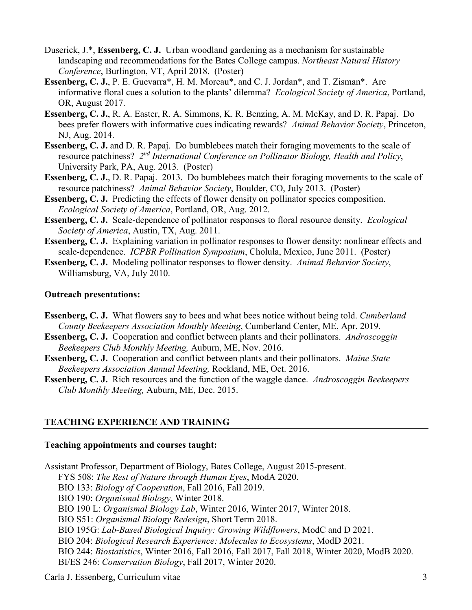- Duserick, J.\*, **Essenberg, C. J.** Urban woodland gardening as a mechanism for sustainable landscaping and recommendations for the Bates College campus. *Northeast Natural History Conference*, Burlington, VT, April 2018. (Poster)
- **Essenberg, C. J.**, P. E. Guevarra\*, H. M. Moreau\*, and C. J. Jordan\*, and T. Zisman\*. Are informative floral cues a solution to the plants' dilemma? *Ecological Society of America*, Portland, OR, August 2017.
- **Essenberg, C. J.**, R. A. Easter, R. A. Simmons, K. R. Benzing, A. M. McKay, and D. R. Papaj. Do bees prefer flowers with informative cues indicating rewards? *Animal Behavior Society*, Princeton, NJ, Aug. 2014.
- **Essenberg, C. J.** and D. R. Papaj. Do bumblebees match their foraging movements to the scale of resource patchiness? *2nd International Conference on Pollinator Biology, Health and Policy*, University Park, PA, Aug. 2013. (Poster)
- **Essenberg, C. J., D. R. Papaj. 2013. Do bumblebees match their foraging movements to the scale of** resource patchiness? *Animal Behavior Society*, Boulder, CO, July 2013. (Poster)
- **Essenberg, C. J.** Predicting the effects of flower density on pollinator species composition. *Ecological Society of America*, Portland, OR, Aug. 2012.
- **Essenberg, C. J.** Scale-dependence of pollinator responses to floral resource density. *Ecological Society of America*, Austin, TX, Aug. 2011.
- **Essenberg, C. J.** Explaining variation in pollinator responses to flower density: nonlinear effects and scale-dependence. *ICPBR Pollination Symposium*, Cholula, Mexico, June 2011. (Poster)

**Essenberg, C. J.** Modeling pollinator responses to flower density. *Animal Behavior Society*, Williamsburg, VA, July 2010.

## **Outreach presentations:**

- **Essenberg, C. J.** What flowers say to bees and what bees notice without being told. *Cumberland County Beekeepers Association Monthly Meeting*, Cumberland Center, ME, Apr. 2019.
- **Essenberg, C. J.** Cooperation and conflict between plants and their pollinators. *Androscoggin Beekeepers Club Monthly Meeting,* Auburn, ME, Nov. 2016.
- **Essenberg, C. J.** Cooperation and conflict between plants and their pollinators. *Maine State Beekeepers Association Annual Meeting,* Rockland, ME, Oct. 2016.

**Essenberg, C. J.** Rich resources and the function of the waggle dance. *Androscoggin Beekeepers Club Monthly Meeting,* Auburn, ME, Dec. 2015.

# **TEACHING EXPERIENCE AND TRAINING**

## **Teaching appointments and courses taught:**

Assistant Professor, Department of Biology, Bates College, August 2015-present.

- FYS 508: *The Rest of Nature through Human Eyes*, ModA 2020.
- BIO 133: *Biology of Cooperation*, Fall 2016, Fall 2019.
- BIO 190: *Organismal Biology*, Winter 2018.
- BIO 190 L: *Organismal Biology Lab*, Winter 2016, Winter 2017, Winter 2018.
- BIO S51: *Organismal Biology Redesign*, Short Term 2018.
- BIO 195G: *Lab-Based Biological Inquiry: Growing Wildflowers*, ModC and D 2021.
- BIO 204: *Biological Research Experience: Molecules to Ecosystems*, ModD 2021.
- BIO 244: *Biostatistics*, Winter 2016, Fall 2016, Fall 2017, Fall 2018, Winter 2020, ModB 2020. BI/ES 246: *Conservation Biology*, Fall 2017, Winter 2020.

Carla J. Essenberg, Curriculum vitae 3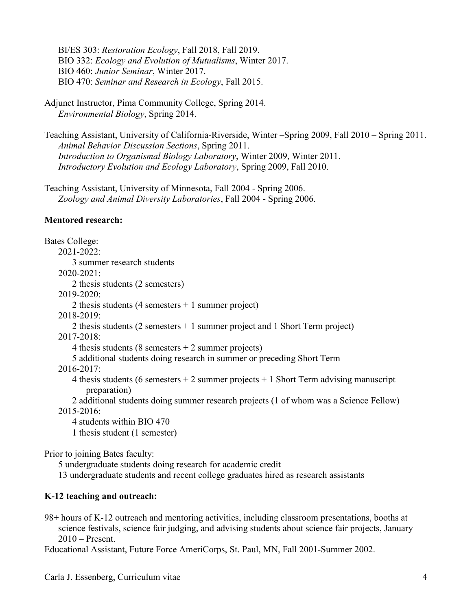BI/ES 303: *Restoration Ecology*, Fall 2018, Fall 2019. BIO 332: *Ecology and Evolution of Mutualisms*, Winter 2017. BIO 460: *Junior Seminar*, Winter 2017. BIO 470: *Seminar and Research in Ecology*, Fall 2015.

Adjunct Instructor, Pima Community College, Spring 2014. *Environmental Biology*, Spring 2014.

Teaching Assistant, University of California-Riverside, Winter –Spring 2009, Fall 2010 – Spring 2011. *Animal Behavior Discussion Sections*, Spring 2011. *Introduction to Organismal Biology Laboratory*, Winter 2009, Winter 2011. *Introductory Evolution and Ecology Laboratory*, Spring 2009, Fall 2010.

Teaching Assistant, University of Minnesota, Fall 2004 - Spring 2006. *Zoology and Animal Diversity Laboratories*, Fall 2004 - Spring 2006.

## **Mentored research:**

Bates College: 2021-2022: 3 summer research students 2020-2021: 2 thesis students (2 semesters) 2019-2020: 2 thesis students (4 semesters + 1 summer project) 2018-2019: 2 thesis students (2 semesters + 1 summer project and 1 Short Term project) 2017-2018: 4 thesis students (8 semesters  $+ 2$  summer projects) 5 additional students doing research in summer or preceding Short Term 2016-2017: 4 thesis students (6 semesters  $+ 2$  summer projects  $+ 1$  Short Term advising manuscript preparation) 2 additional students doing summer research projects (1 of whom was a Science Fellow) 2015-2016: 4 students within BIO 470

1 thesis student (1 semester)

Prior to joining Bates faculty:

5 undergraduate students doing research for academic credit

13 undergraduate students and recent college graduates hired as research assistants

# **K-12 teaching and outreach:**

98+ hours of K-12 outreach and mentoring activities, including classroom presentations, booths at science festivals, science fair judging, and advising students about science fair projects, January 2010 – Present.

Educational Assistant, Future Force AmeriCorps, St. Paul, MN, Fall 2001-Summer 2002.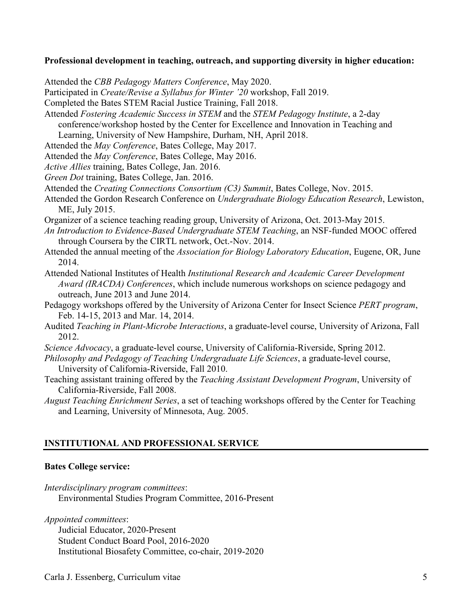#### **Professional development in teaching, outreach, and supporting diversity in higher education:**

Attended the *CBB Pedagogy Matters Conference*, May 2020. Participated in *Create/Revise a Syllabus for Winter '20* workshop, Fall 2019. Completed the Bates STEM Racial Justice Training, Fall 2018. Attended *Fostering Academic Success in STEM* and the *STEM Pedagogy Institute*, a 2-day conference/workshop hosted by the Center for Excellence and Innovation in Teaching and Learning, University of New Hampshire, Durham, NH, April 2018. Attended the *May Conference*, Bates College, May 2017. Attended the *May Conference*, Bates College, May 2016. *Active Allies* training, Bates College, Jan. 2016. *Green Dot* training, Bates College, Jan. 2016. Attended the *Creating Connections Consortium (C3) Summit*, Bates College, Nov. 2015. Attended the Gordon Research Conference on *Undergraduate Biology Education Research*, Lewiston, ME, July 2015. Organizer of a science teaching reading group, University of Arizona, Oct. 2013-May 2015. *An Introduction to Evidence-Based Undergraduate STEM Teaching*, an NSF-funded MOOC offered through Coursera by the CIRTL network, Oct.-Nov. 2014. Attended the annual meeting of the *Association for Biology Laboratory Education*, Eugene, OR, June 2014. Attended National Institutes of Health *Institutional Research and Academic Career Development Award (IRACDA) Conferences*, which include numerous workshops on science pedagogy and outreach, June 2013 and June 2014.

Pedagogy workshops offered by the University of Arizona Center for Insect Science *PERT program*, Feb. 14-15, 2013 and Mar. 14, 2014.

Audited *Teaching in Plant-Microbe Interactions*, a graduate-level course, University of Arizona, Fall 2012.

- *Science Advocacy*, a graduate-level course, University of California-Riverside, Spring 2012.
- *Philosophy and Pedagogy of Teaching Undergraduate Life Sciences*, a graduate-level course, University of California-Riverside, Fall 2010.
- Teaching assistant training offered by the *Teaching Assistant Development Program*, University of California-Riverside, Fall 2008.
- *August Teaching Enrichment Series*, a set of teaching workshops offered by the Center for Teaching and Learning, University of Minnesota, Aug. 2005.

# **INSTITUTIONAL AND PROFESSIONAL SERVICE**

## **Bates College service:**

- *Interdisciplinary program committees*: Environmental Studies Program Committee, 2016-Present
- *Appointed committees*:

Judicial Educator, 2020-Present Student Conduct Board Pool, 2016-2020 Institutional Biosafety Committee, co-chair, 2019-2020